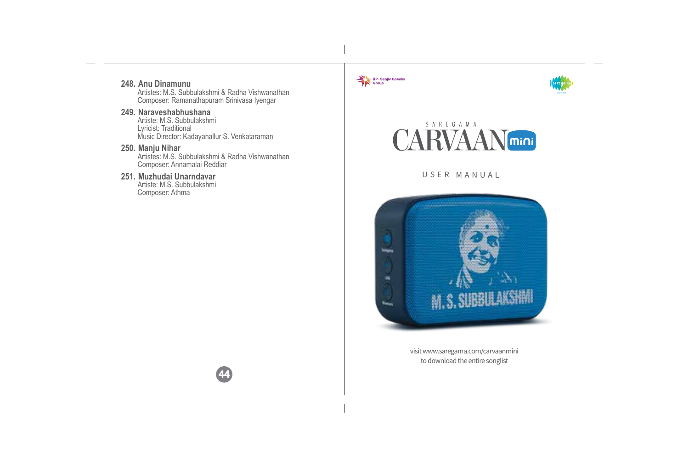RP - Sanjiv Goenka **248. Anu Dinamunu** Artistes: M.S. Subbulakshmi & Radha Vishwanathan Composer: Ramanathapuram Srinivasa Iyengar **249. Naraveshabhushana** Artiste: M.S. Subbulakshmi SAREGAMA Lyricist: Traditional **CARVAAN**<sub>mini</sub> Music Director: Kadayanallur S. Venkataraman **250. Manju Nihar** Artistes: M.S. Subbulakshmi & Radha Vishwanathan Composer: Annamalai Reddiar **251. Muzhudai Unarndavar** USER MANUA L Artiste: M.S. Subbulakshmi Composer: Athma**higin** × **M. S. SUBBULAKSHMI** i. visit www.saregama.com/carvaanmini to download the entire songlist 44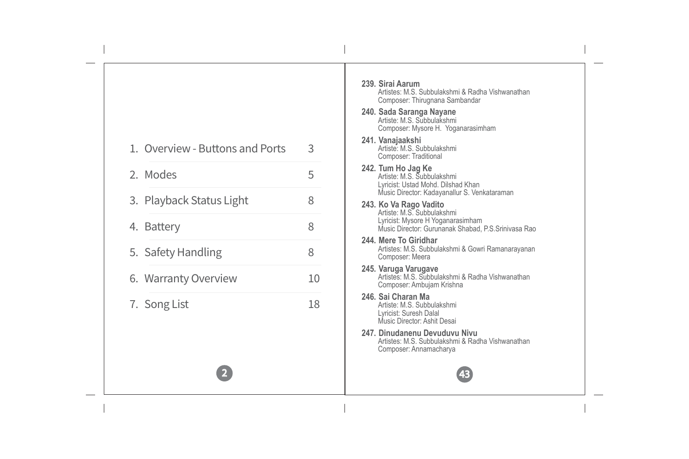|                                 |    | 239. Sirai Aarum<br>Artistes: M.S. Subbulakshmi & Radha Vishwanathan                                                                              |
|---------------------------------|----|---------------------------------------------------------------------------------------------------------------------------------------------------|
|                                 |    | Composer: Thirugnana Sambandar                                                                                                                    |
|                                 |    | 240. Sada Saranga Nayane<br>Artiste: M.S. Subbulakshmi<br>Composer: Mysore H. Yoganarasimham                                                      |
| 1. Overview - Buttons and Ports | 3  | 241. Vanajaakshi<br>Artiste: M.S. Subbulakshmi<br>Composer: Traditional                                                                           |
| 2. Modes                        | 5  | 242. Tum Ho Jag Ke<br>Artiste: M.S. Subbulakshmi<br>Lyricist: Ustad Mohd. Dilshad Khan                                                            |
| 3. Playback Status Light        | 8  | Music Director: Kadayanallur S. Venkataraman                                                                                                      |
| 4. Battery                      | 8  | 243. Ko Va Rago Vadito<br>Artiste: M.S. Subbulakshmi<br>Lyricist: Mysore H Yoganarasimham<br>Music Director: Gurunanak Shabad, P.S. Srinivasa Rao |
| 5. Safety Handling              | 8  | 244. Mere To Giridhar<br>Artistes: M.S. Subbulakshmi & Gowri Ramanarayanan<br>Composer: Meera                                                     |
| 6. Warranty Overview            | 10 | 245. Varuga Varugave<br>Artistes: M.S. Subbulakshmi & Radha Vishwanathan<br>Composer: Ambujam Krishna                                             |
| 7. Song List                    | 18 | 246. Sai Charan Ma<br>Artiste: M.S. Subbulakshmi<br>Lyricist: Suresh Dalal<br>Music Director: Ashit Desai                                         |
|                                 |    | 247. Dinudanenu Devuduvu Nivu<br>Artistes: M.S. Subbulakshmi & Radha Vishwanathan<br>Composer: Annamacharya                                       |
|                                 |    |                                                                                                                                                   |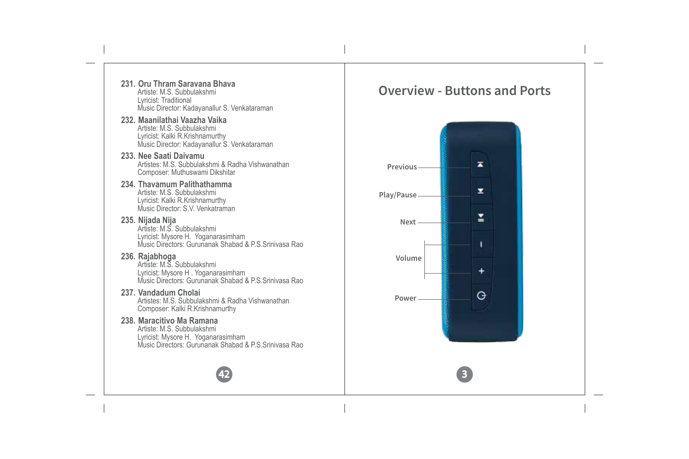#### **231. Oru Thram Saravana Bhava** Artiste: M.S. Subbulakshmi Lyricist: Traditional Music Director: Kadayanallur S. Venkataraman

#### **232. Maanilathai Vaazha Vaika** Artiste: M.S. Subbulakshmi Lyricist: Kalki R.Krishnamurthy Music Director: Kadayanallur S. Venkataraman

#### **233. Nee Saati Daivamu** Artistes: M.S. Subbulakshmi & Radha Vishwanathan Composer: Muthuswami Dikshitar

#### **234. Thavamum Palithathamma** Artiste: M.S. Subbulakshmi

Lyricist: Kalki R.Krishnamurthy Music Director: S.V. Venkatraman

### **235. Nijada Nija**

Artiste: M.S. Subbulakshmi Lyricist: Mysore H. Yoganarasimham Music Directors: Gurunanak Shabad & P.S.Srinivasa Rao

**236. Rajabhoga** Artiste: M.S. Subbulakshmi Lyricist: Mysore H . Yoganarasimham Music Directors: Gurunanak Shabad & P.S.Srinivasa Rao

# **237. Vandadum Cholai**

Artistes: M.S. Subbulakshmi & Radha Vishwanathan Composer: Kalki R.Krishnamurthy

# **238. Maracitivo Ma Ramana**

Artiste: M.S. Subbulakshmi Lyricist: Mysore H. Yoganarasimham Music Directors: Gurunanak Shabad & P.S.Srinivasa Rao

42

# **Overview - Buttons and Ports**

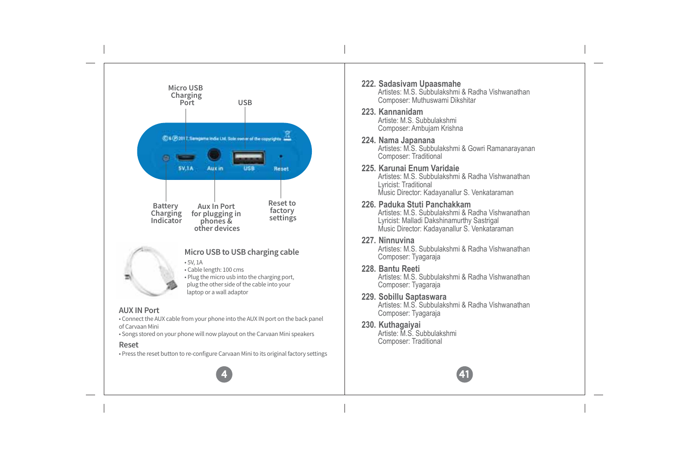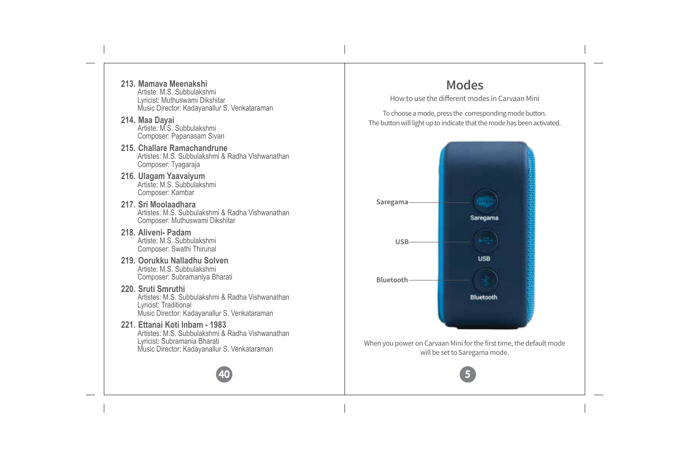- **213. Mamava Meenakshi** Artiste: M.S. Subbulakshmi Lyricist: Muthuswami Dikshitar Music Director: Kadayanallur S. Venkataraman
- **214. Maa Dayai** Artiste: M.S. Subbulakshmi Composer: Papanasam Sivan
- **215. Challare Ramachandrune** Artistes: M.S. Subbulakshmi & Radha Vishwanathan Composer: Tyagaraja
- **216. Ulagam Yaavaiyum** Artiste: M.S. Subbulakshmi Composer: Kambar
- **217. Sri Moolaadhara** Artistes: M.S. Subbulakshmi & Radha Vishwanathan Composer: Muthuswami Dikshitar
- **218. Aliveni- Padam** Artiste: M.S. Subbulakshmi Composer: Swathi Thirunal
- **219. Oorukku Nalladhu Solven** Artiste: M.S. Subbulakshmi Composer: Subramaniya Bharati
- **220. Sruti Smruthi** Artistes: M.S. Subbulakshmi & Radha Vishwanathan Lyricist: Traditional Music Director: Kadayanallur S. Venkataraman
- **221. Ettanai Koti Inbam 1983** Artistes: M.S. Subbulakshmi & Radha Vishwanathan Lyricist: Subramania Bharati Music Director: Kadayanallur S. Venkataraman



# **Modes**

How to use the different modes in Carvaan Mini

To choose a mode, press the corresponding mode button. The button will light up to indicate that the mode has been activated.

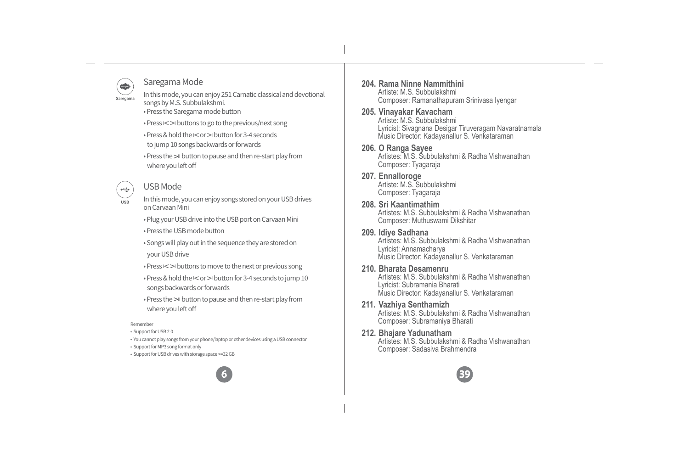# Saregama Mode

**INTERNATIONAL** 

 $\frac{1}{2}$  $110D$ 

In this mode, you can enjoy 251 Carnatic classical and devotional Saregama songs by M.S. Subbulakshmi. • Press the Saregama mode button

• Press I < >I buttons to go to the previous/next song

• Press & hold the  $1 <$  or  $>1$  button for 3-4 seconds to jump 10 songs backwards or forwards

• Press the >II button to pause and then re-start play from where you left off

### USB Mode

In this mode, you can enjoy songs stored on your USB drives on Carvaan Mini

• Plug your USB drive into the USB port on Carvaan Mini

• Press the USB mode button

• Songs will play out in the sequence they are stored on your USB drive

• Press  $\le$  > buttons to move to the next or previous song

• Press & hold the I < or >I button for 3-4 seconds to jump 10 songs backwards or forwards

• Press the >II button to pause and then re-start play from where you left off

Remember

• Support for USB 2.0

• You cannot play songs from your phone/laptop or other devices using a USB connector

• Support for MP3 song format only

• Support for USB drives with storage space <=32 GB



#### **204. Rama Ninne Nammithini** Artiste: M.S. Subbulakshmi Composer: Ramanathapuram Srinivasa Iyengar

#### **205. Vinayakar Kavacham** Artiste: M.S. Subbulakshmi

Lyricist: Sivagnana Desigar Tiruveragam Navaratnamala Music Director: Kadayanallur S. Venkataraman

#### **206. O Ranga Sayee** Artistes: M.S. Subbulakshmi & Radha Vishwanathan

Composer: Tyagaraja

**207. Ennalloroge** Artiste: M.S. Subbulakshmi Composer: Tyagaraja

### **208. Sri Kaantimathim**

Artistes: M.S. Subbulakshmi & Radha Vishwanathan Composer: Muthuswami Dikshitar

#### **209. Idiye Sadhana**

Artistes: M.S. Subbulakshmi & Radha Vishwanathan Lyricist: Annamacharya Music Director: Kadayanallur S. Venkataraman

#### **210. Bharata Desamenru**

Artistes: M.S. Subbulakshmi & Radha Vishwanathan Lyricist: Subramania Bharati Music Director: Kadayanallur S. Venkataraman

- **211. Vazhiya Senthamizh** Artistes: M.S. Subbulakshmi & Radha Vishwanathan Composer: Subramaniya Bharati
- **212. Bhajare Yadunatham** Artistes: M.S. Subbulakshmi & Radha Vishwanathan Composer: Sadasiva Brahmendra

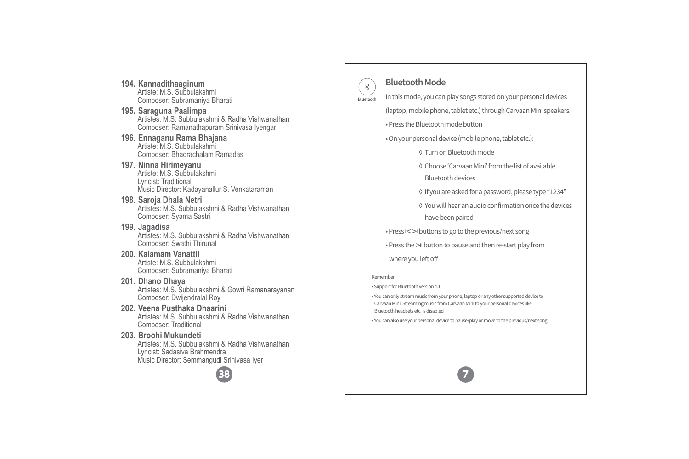- **194. Kannadithaaginum** Artiste: M.S. Subbulakshmi Composer: Subramaniya Bharati
- **195. Saraguna Paalimpa** Artistes: M.S. Subbulakshmi & Radha Vishwanathan Composer: Ramanathapuram Srinivasa Iyengar
- **196. Ennaganu Rama Bhajana** Artiste: M.S. Subbulakshmi Composer: Bhadrachalam Ramadas
- **197. Ninna Hirimeyanu** Artiste: M.S. Subbulakshmi Lyricist: Traditional Music Director: Kadayanallur S. Venkataraman
- **198. Saroja Dhala Netri** Artistes: M.S. Subbulakshmi & Radha Vishwanathan Composer: Syama Sastri
- **199. Jagadisa** Artistes: M.S. Subbulakshmi & Radha Vishwanathan Composer: Swathi Thirunal
- **200. Kalamam Vanattil** Artiste: M.S. Subbulakshmi Composer: Subramaniya Bharati
- **201. Dhano Dhaya** Artistes: M.S. Subbulakshmi & Gowri Ramanarayanan Composer: Dwijendralal Roy
- **202. Veena Pusthaka Dhaarini** Artistes: M.S. Subbulakshmi & Radha Vishwanathan Composer: Traditional
- **203. Broohi Mukundeti** Artistes: M.S. Subbulakshmi & Radha Vishwanathan Lyricist: Sadasiva Brahmendra Music Director: Semmangudi Srinivasa Iyer



# **Bluetooth Mode**

 $\ast$ 

- In this mode, you can play songs stored on your personal devices Bluetooth (laptop, mobile phone, tablet etc.) through Carvaan Mini speakers.
	- Press the Bluetooth mode button
	- On your personal device (mobile phone, tablet etc.):
		- ◊ Turn on Bluetooth mode
		- ◊ Choose 'Carvaan Mini' from the list of available Bluetooth devices
		- ◊ If you are asked for a password, please type "1234"
		- ◊ You will hear an audio confirmation once the devices have been paired
	- Press I < >I buttons to go to the previous/next song
	- Press the >II button to pause and then re-start play from
	- where you left off

#### Remember

- Support for Bluetooth version 4.1
- You can only stream music from your phone, laptop or any other supported device to Carvaan Mini. Streaming music from Carvaan Mini to your personal devices like Bluetooth headsets etc. is disabled
- You can also use your personal device to pause/play or move to the previous/next song

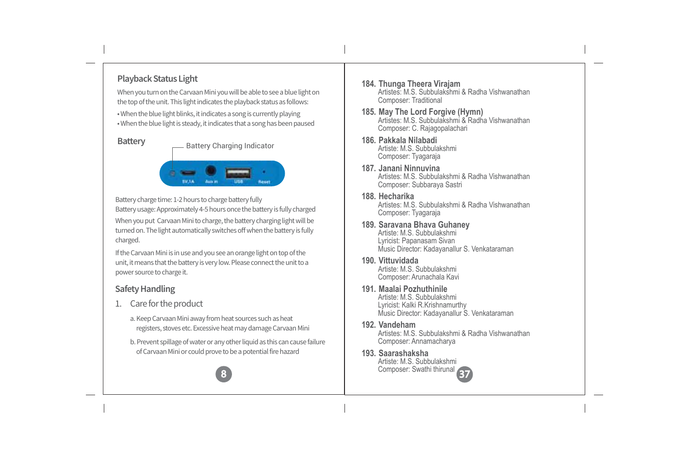# **Playback Status Light**

When you turn on the Carvaan Mini you will be able to see a blue light on the top of the unit. This light indicates the playback status as follows:

• When the blue light blinks, it indicates a song is currently playing • When the blue light is steady, it indicates that a song has been paused

#### **Battery**

- Battery Charging Indicator



Battery charge time: 1-2 hours to charge battery fully

When you put Carvaan Mini to charge, the battery charging light will be turned on. The light automatically switches off when the battery is fully charged. Battery usage: Approximately 4-5 hours once the battery is fully charged

If the Carvaan Mini is in use and you see an orange light on top of the unit, it means that the battery is very low. Please connect the unit to a power source to charge it.

### **Safety Handling**

- 1. Care for the product
	- a. Keep Carvaan Mini away from heat sources such as heat registers, stoves etc. Excessive heat may damage Carvaan Mini
	- b. Prevent spillage of water or any other liquid as this can cause failure of Carvaan Mini or could prove to be a potential fire hazard



- **184. Thunga Theera Virajam** Artistes: M.S. Subbulakshmi & Radha Vishwanathan Composer: Traditional
- **185. May The Lord Forgive (Hymn)** Artistes: M.S. Subbulakshmi & Radha Vishwanathan Composer: C. Rajagopalachari
- **186. Pakkala Nilabadi** Artiste: M.S. Subbulakshmi Composer: Tyagaraja
- **187. Janani Ninnuvina** Artistes: M.S. Subbulakshmi & Radha Vishwanathan Composer: Subbaraya Sastri
- **188. Hecharika** Artistes: M.S. Subbulakshmi & Radha Vishwanathan Composer: Tyagaraja
- **189. Saravana Bhava Guhaney** Artiste: M.S. Subbulakshmi Lyricist: Papanasam Sivan Music Director: Kadayanallur S. Venkataraman
- **190. Vittuvidada**

Artiste: M.S. Subbulakshmi Composer: Arunachala Kavi

**191. Maalai Pozhuthinile**

Artiste: M.S. Subbulakshmi Lyricist: Kalki R.Krishnamurthy Music Director: Kadayanallur S. Venkataraman

#### **192. Vandeham**

Artistes: M.S. Subbulakshmi & Radha Vishwanathan Composer: Annamacharya

**193. Saarashaksha** Artiste: M.S. Subbulakshmi Composer: Swathi thirunal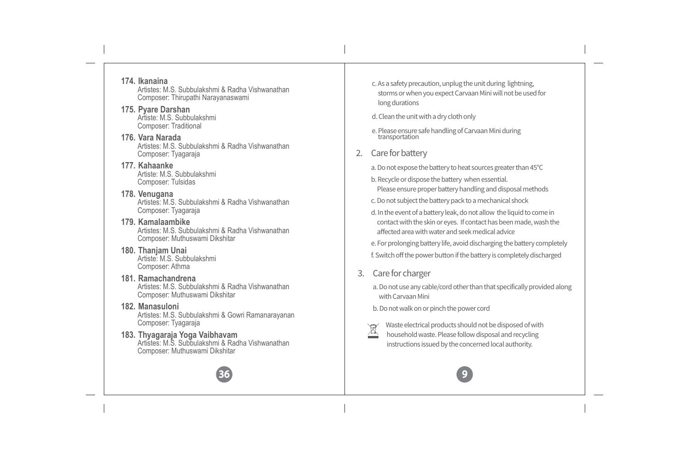**174. Ikanaina** Artistes: M.S. Subbulakshmi & Radha Vishwanathan Composer: Thirupathi Narayanaswami

- **175. Pyare Darshan** Artiste: M.S. Subbulakshmi Composer: Traditional
- **176. Vara Narada** Artistes: M.S. Subbulakshmi & Radha Vishwanathan Composer: Tyagaraja

#### **177. Kahaanke** Artiste: M.S. Subbulakshmi Composer: Tulsidas

- **178. Venugana** Artistes: M.S. Subbulakshmi & Radha Vishwanathan Composer: Tyagaraja
- **179. Kamalaambike** Artistes: M.S. Subbulakshmi & Radha Vishwanathan Composer: Muthuswami Dikshitar
- **180. Thanjam Unai** Artiste: M.S. Subbulakshmi Composer: Athma
- **181. Ramachandrena** Artistes: M.S. Subbulakshmi & Radha Vishwanathan Composer: Muthuswami Dikshitar
- **182. Manasuloni** Artistes: M.S. Subbulakshmi & Gowri Ramanarayanan Composer: Tyagaraja
- **183. Thyagaraja Yoga Vaibhavam** Artistes: M.S. Subbulakshmi & Radha Vishwanathan Composer: Muthuswami Dikshitar



- c. As a safety precaution, unplug the unit during lightning, storms or when you expect Carvaan Mini will not be used for long durations
- d. Clean the unit with a dry cloth only
- e. Please ensure safe handling of Carvaan Mini during transportation
- 2. Care for battery
	- a. Do not expose the battery to heat sources greater than 45°C
	- b. Recycle or dispose the battery when essential. Please ensure proper battery handling and disposal methods
	- c. Do not subject the battery pack to a mechanical shock
	- d. In the event of a battery leak, do not allow the liquid to come in contact with the skin or eyes. If contact has been made, wash the affected area with water and seek medical advice
	- e. For prolonging battery life, avoid discharging the battery completely f. Switch off the power button if the battery is completely discharged
- 3. Care for charger
	- a. Do not use any cable/cord other than that specifically provided along with Carvaan Mini
	- b. Do not walk on or pinch the power cord
	- Waste electrical products should not be disposed of with household waste. Please follow disposal and recycling instructions issued by the concerned local authority.

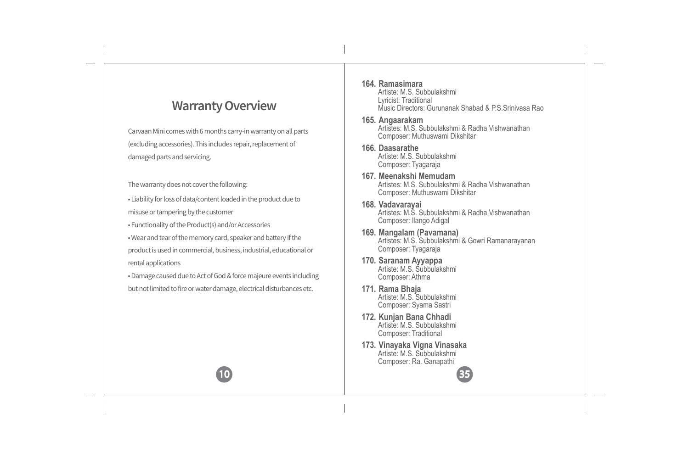# **Warranty Overview**

Carvaan Mini comes with 6 months carry-in warranty on all parts (excluding accessories). This includes repair, replacement of damaged parts and servicing.

The warranty does not cover the following:

• Liability for loss of data/content loaded in the product due to

misuse or tampering by the customer

• Functionality of the Product(s) and/or Accessories

• Wear and tear of the memory card, speaker and battery if the

product is used in commercial, business, industrial, educational or rental applications

• Damage caused due to Act of God & force majeure events including but not limited to fire or water damage, electrical disturbances etc.

10

#### **164. Ramasimara** Artiste: M.S. Subbulakshmi Lyricist: Traditional Music Directors: Gurunanak Shabad & P.S.Srinivasa Rao **165. Angaarakam**  Artistes: M.S. Subbulakshmi & Radha Vishwanathan Composer: Muthuswami Dikshitar **166. Daasarathe** Artiste: M.S. Subbulakshmi Composer: Tyagaraja **167. Meenakshi Memudam** Artistes: M.S. Subbulakshmi & Radha Vishwanathan Composer: Muthuswami Dikshitar **168. Vadavarayai** Artistes: M.S. Subbulakshmi & Radha Vishwanathan Composer: Ilango Adigal **169. Mangalam (Pavamana)** Artistes: M.S. Subbulakshmi & Gowri Ramanarayanan Composer: Tyagaraja **170. Saranam Ayyappa** Artiste: M.S. Subbulakshmi

- Composer: Athma **171. Rama Bhaja** Artiste: M.S. Subbulakshmi Composer: Syama Sastri
- **172. Kunjan Bana Chhadi** Artiste: M.S. Subbulakshmi Composer: Traditional
- **173. Vinayaka Vigna Vinasaka** Artiste: M.S. Subbulakshmi Composer: Ra. Ganapathi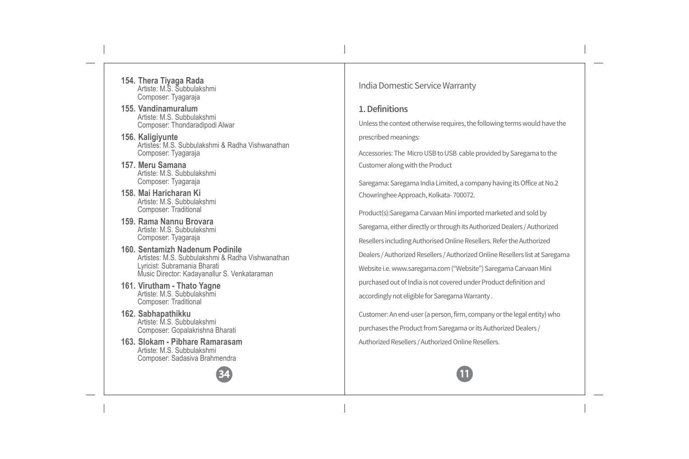**154. Thera Tiyaga Rada** Artiste: M.S. Subbulakshmi Composer: Tyagaraja

**155. Vandinamuralum** Artiste: M.S. Subbulakshmi Composer: Thondaradipodi Alwar

**156. Kaligiyunte** Artistes: M.S. Subbulakshmi & Radha Vishwanathan Composer: Tyagaraja

**157. Meru Samana** Artiste: M.S. Subbulakshmi Composer: Tyagaraja

**158. Mai Haricharan Ki** Artiste: M.S. Subbulakshmi Composer: Traditional

**159. Rama Nannu Brovara** Artiste: M.S. Subbulakshmi Composer: Tyagaraja

**160. Sentamizh Nadenum Podinile** Artistes: M.S. Subbulakshmi & Radha Vishwanathan Lyricist: Subramania Bharati Music Director: Kadayanallur S. Venkataraman

- **161. Virutham Thato Yagne** Artiste: M.S. Subbulakshmi Composer: Traditional
- **162. Sabhapathikku** Artiste: M.S. Subbulakshmi Composer: Gopalakrishna Bharati
- **163. Slokam Pibhare Ramarasam** Artiste: M.S. Subbulakshmi Composer: Sadasiva Brahmendra



India Domestic Service Warranty

#### **1. Definitions**

Unless the context otherwise requires, the following terms would have the prescribed meanings:

Accessories: The Micro USB to USB cable provided by Saregama to the Customer along with the Product

Saregama: Saregama India Limited, a company having its Office at No.2 Chowringhee Approach, Kolkata- 700072.

Product(s):Saregama Carvaan Mini imported marketed and sold by Saregama, either directly or through its Authorized Dealers / Authorized Resellers including Authorised Online Resellers. Refer the Authorized Dealers / Authorized Resellers / Authorized Online Resellers list at Saregama Website i.e. www.saregama.com ("Website") Saregama Carvaan Mini purchased out of India is not covered under Product definition and accordingly not eligible for Saregama Warranty .

Customer: An end-user (a person, firm, company or the legal entity) who purchases the Product from Saregama or its Authorized Dealers / Authorized Resellers / Authorized Online Resellers.

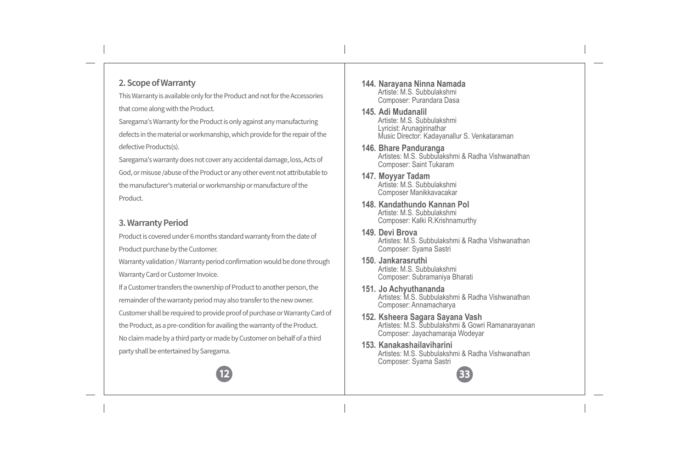# **2. Scope of Warranty**

This Warranty is available only for the Product and not for the Accessories that come along with the Product.

Saregama's Warranty for the Product is only against any manufacturing defects in the material or workmanship, which provide for the repair of the defective Products(s).

Saregama's warranty does not cover any accidental damage, loss, Acts of God, or misuse /abuse of the Product or any other event not attributable to the manufacturer's material or workmanship or manufacture of the Product.

### **3. Warranty Period**

Product is covered under 6 months standard warranty from the date of Product purchase by the Customer.

Warranty validation / Warranty period confirmation would be done through Warranty Card or Customer Invoice.

If a Customer transfers the ownership of Product to another person, the remainder of the warranty period may also transfer to the new owner. Customer shall be required to provide proof of purchase or Warranty Card of the Product, as a pre-condition for availing the warranty of the Product. No claim made by a third party or made by Customer on behalf of a third party shall be entertained by Saregama.



- **145. Adi Mudanalil** Artiste: M.S. Subbulakshmi Lyricist: Arunagirinathar Music Director: Kadayanallur S. Venkataraman
- **146. Bhare Panduranga** Artistes: M.S. Subbulakshmi & Radha Vishwanathan Composer: Saint Tukaram
- **147. Moyyar Tadam** Artiste: M.S. Subbulakshmi Composer Manikkavacakar
- **148. Kandathundo Kannan Pol** Artiste: M.S. Subbulakshmi Composer: Kalki R.Krishnamurthy
- **149. Devi Brova** Artistes: M.S. Subbulakshmi & Radha Vishwanathan Composer: Syama Sastri
- **150. Jankarasruthi** Artiste: M.S. Subbulakshmi Composer: Subramaniya Bharati
- **151. Jo Achyuthananda** Artistes: M.S. Subbulakshmi & Radha Vishwanathan Composer: Annamacharya
- **152. Ksheera Sagara Sayana Vash** Artistes: M.S. Subbulakshmi & Gowri Ramanarayanan Composer: Jayachamaraja Wodeyar
- **153. Kanakashailaviharini** Artistes: M.S. Subbulakshmi & Radha Vishwanathan Composer: Syama Sastri

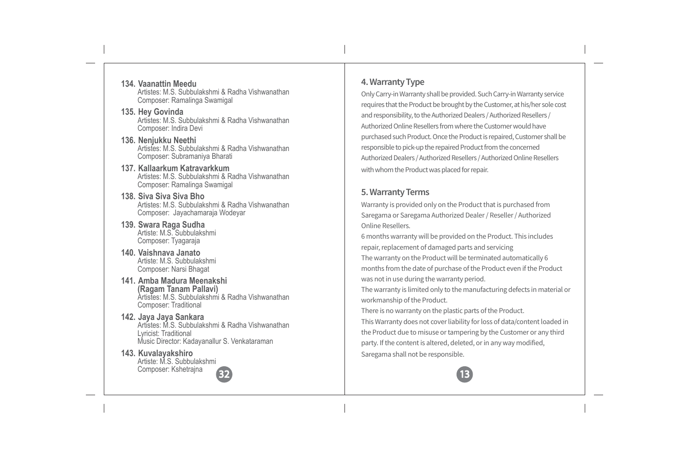**134. Vaanattin Meedu** Artistes: M.S. Subbulakshmi & Radha Vishwanathan Composer: Ramalinga Swamigal

- **135. Hey Govinda** Artistes: M.S. Subbulakshmi & Radha Vishwanathan Composer: Indira Devi
- **136. Nenjukku Neethi** Artistes: M.S. Subbulakshmi & Radha Vishwanathan Composer: Subramaniya Bharati
- **137. Kallaarkum Katravarkkum** Artistes: M.S. Subbulakshmi & Radha Vishwanathan Composer: Ramalinga Swamigal
- **138. Siva Siva Siva Bho** Artistes: M.S. Subbulakshmi & Radha Vishwanathan Composer: Jayachamaraja Wodeyar
- **139. Swara Raga Sudha** Artiste: M.S. Subbulakshmi Composer: Tyagaraja
- **140. Vaishnava Janato** Artiste: M.S. Subbulakshmi Composer: Narsi Bhagat
- **141. Amba Madura Meenakshi (Ragam Tanam Pallavi)** Artistes: M.S. Subbulakshmi & Radha Vishwanathan Composer: Traditional

#### **142. Jaya Jaya Sankara** Artistes: M.S. Subbulakshmi & Radha Vishwanathan Lyricist: Traditional Music Director: Kadayanallur S. Venkataraman

**143. Kuvalayakshiro** Artiste: M.S. Subbulakshmi Composer: Kshetrajna 32

# **4. Warranty Type**

Only Carry-in Warranty shall be provided. Such Carry-in Warranty service requires that the Product be brought by the Customer, at his/her sole cost and responsibility, to the Authorized Dealers / Authorized Resellers / Authorized Online Resellers from where the Customer would have purchased such Product. Once the Product is repaired, Customer shall be responsible to pick-up the repaired Product from the concerned Authorized Dealers / Authorized Resellers / Authorized Online Resellers with whom the Product was placed for repair.

# **5. Warranty Terms**

Warranty is provided only on the Product that is purchased from Saregama or Saregama Authorized Dealer / Reseller / Authorized Online Resellers.

6 months warranty will be provided on the Product. This includes repair, replacement of damaged parts and servicing

The warranty on the Product will be terminated automatically 6 months from the date of purchase of the Product even if the Product was not in use during the warranty period.

The warranty is limited only to the manufacturing defects in material or workmanship of the Product.

There is no warranty on the plastic parts of the Product.

This Warranty does not cover liability for loss of data/content loaded in the Product due to misuse or tampering by the Customer or any third party. If the content is altered, deleted, or in any way modified, Saregama shall not be responsible.

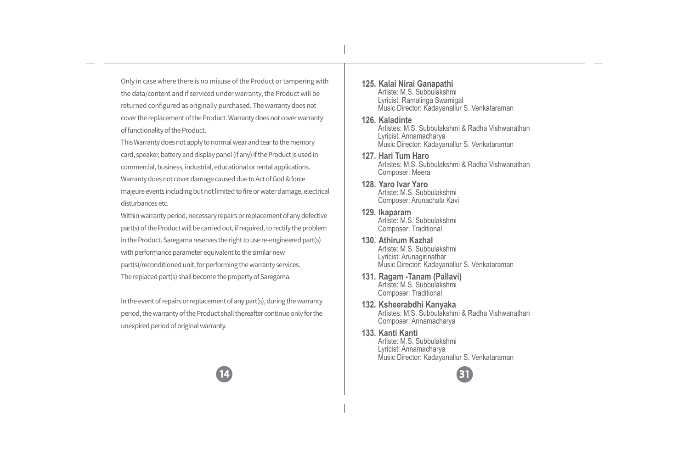Only in case where there is no misuse of the Product or tampering with the data/content and if serviced under warranty, the Product will be returned configured as originally purchased. The warranty does not cover the replacement of the Product. Warranty does not cover warranty of functionality of the Product.

This Warranty does not apply to normal wear and tear to the memory card, speaker, battery and display panel (if any) if the Product is used in commercial, business, industrial, educational or rental applications. Warranty does not cover damage caused due to Act of God & force majeure events including but not limited to fire or water damage, electrical disturbances etc.

Within warranty period, necessary repairs or replacement of any defective part(s) of the Product will be carried out, if required, to rectify the problem in the Product. Saregama reserves the right to use re-engineered part(s) with performance parameter equivalent to the similar new part(s)/reconditioned unit, for performing the warranty services. The replaced part(s) shall become the property of Saregama.

In the event of repairs or replacement of any part(s), during the warranty period, the warranty of the Product shall thereafter continue only for the unexpired period of original warranty.

14

**125. Kalai Nirai Ganapathi** Artiste: M.S. Subbulakshmi Lyricist: Ramalinga Swamigal Music Director: Kadayanallur S. Venkataraman

# **126. Kaladinte**

Artistes: M.S. Subbulakshmi & Radha Vishwanathan Lyricist: Annamacharya Music Director: Kadayanallur S. Venkataraman

- **127. Hari Tum Haro** Artistes: M.S. Subbulakshmi & Radha Vishwanathan Composer: Meera
- **128. Yaro Ivar Yaro** Artiste: M.S. Subbulakshmi Composer: Arunachala Kavi
- **129. Ikaparam** Artiste: M.S. Subbulakshmi Composer: Traditional
- **130. Athirum Kazhal** Artiste: M.S. Subbulakshmi Lyricist: Arunagirinathar Music Director: Kadayanallur S. Venkataraman
- **131. Ragam -Tanam (Pallavi)** Artiste: M.S. Subbulakshmi Composer: Traditional
- **132. Ksheerabdhi Kanyaka** Artistes: M.S. Subbulakshmi & Radha Vishwanathan Composer: Annamacharya
- **133. Kanti Kanti** Artiste: M.S. Subbulakshmi Lyricist: Annamacharya Music Director: Kadayanallur S. Venkataraman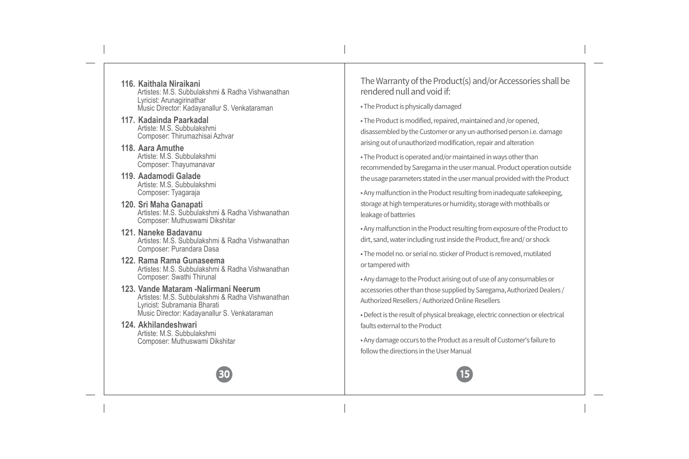- **116. Kaithala Niraikani** Artistes: M.S. Subbulakshmi & Radha Vishwanathan Lyricist: Arunagirinathar Music Director: Kadayanallur S. Venkataraman
- **117. Kadainda Paarkadal** Artiste: M.S. Subbulakshmi Composer: Thirumazhisai Azhvar
- **118. Aara Amuthe** Artiste: M.S. Subbulakshmi Composer: Thayumanavar
- **119. Aadamodi Galade** Artiste: M.S. Subbulakshmi Composer: Tyagaraja
- **120. Sri Maha Ganapati** Artistes: M.S. Subbulakshmi & Radha Vishwanathan Composer: Muthuswami Dikshitar
- **121. Naneke Badavanu** Artistes: M.S. Subbulakshmi & Radha Vishwanathan Composer: Purandara Dasa
- **122. Rama Rama Gunaseema** Artistes: M.S. Subbulakshmi & Radha Vishwanathan Composer: Swathi Thirunal
- **123. Vande Mataram -Nalirmani Neerum** Artistes: M.S. Subbulakshmi & Radha Vishwanathan Lyricist: Subramania Bharati Music Director: Kadayanallur S. Venkataraman

**124. Akhilandeshwari** Artiste: M.S. Subbulakshmi Composer: Muthuswami Dikshitar



• The Product is physically damaged

• The Product is modified, repaired, maintained and /or opened, disassembled by the Customer or any un-authorised person i.e. damage arising out of unauthorized modification, repair and alteration

• The Product is operated and/or maintained in ways other than recommended by Saregama in the user manual. Product operation outside the usage parameters stated in the user manual provided with the Product

• Any malfunction in the Product resulting from inadequate safekeeping, storage at high temperatures or humidity, storage with mothballs or leakage of batteries

• Any malfunction in the Product resulting from exposure of the Product to dirt, sand, water including rust inside the Product, fire and/ or shock

• The model no. or serial no. sticker of Product is removed, mutilated or tampered with

• Any damage to the Product arising out of use of any consumables or accessories other than those supplied by Saregama, Authorized Dealers / Authorized Resellers / Authorized Online Resellers

• Defect is the result of physical breakage, electric connection or electrical faults external to the Product

• Any damage occurs to the Product as a result of Customer's failure to follow the directions in the User Manual

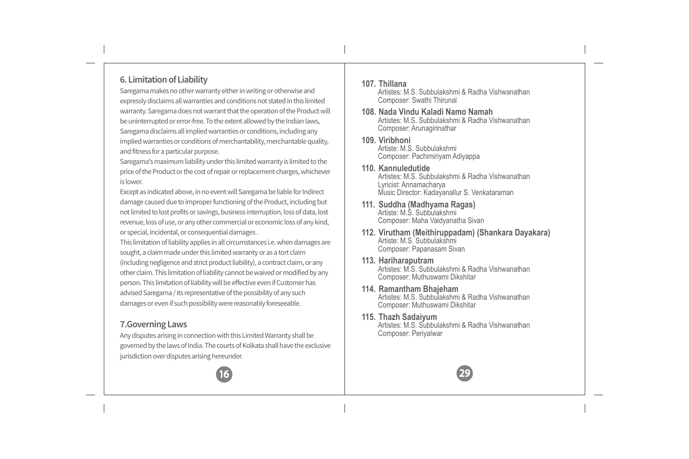# **6. Limitation of Liability**

Saregama makes no other warranty either in writing or otherwise and expressly disclaims all warranties and conditions not stated in this limited warranty. Saregama does not warrant that the operation of the Product will be uninterrupted or error-free. To the extent allowed by the Indian laws, Saregama disclaims all implied warranties or conditions, including any implied warranties or conditions of merchantability, merchantable quality, and fitness for a particular purpose.

Saregama's maximum liability under this limited warranty is limited to the price of the Product or the cost of repair or replacement charges, whichever is lower.

Except as indicated above, in no event will Saregama be liable for Indirect damage caused due to improper functioning of the Product, including but not limited to lost profits or savings, business interruption, loss of data, lost revenue, loss of use, or any other commercial or economic loss of any kind, or special, incidental, or consequential damages .

This limitation of liability applies in all circumstances i.e. when damages are sought, a claim made under this limited warranty or as a tort claim (including negligence and strict product liability), a contract claim, or any other claim. This limitation of liability cannot be waived or modified by any person. This limitation of liability will be effective even if Customer has advised Saregama / its representative of the possibility of any such damages or even if such possibility were reasonably foreseeable.

### **7.Governing Laws**

Any disputes arising in connection with this Limited Warranty shall be governed by the laws of India. The courts of Kolkata shall have the exclusive jurisdiction over disputes arising hereunder.

#### **107. Thillana**

Artistes: M.S. Subbulakshmi & Radha Vishwanathan Composer: Swathi Thirunal

- **108. Nada Vindu Kaladi Namo Namah** Artistes: M.S. Subbulakshmi & Radha Vishwanathan Composer: Arunagirinathar
- **109. Viribhoni** Artiste: M.S. Subbulakshmi Composer: Pachimiriyam Adiyappa
- **110. Kannuledutide** Artistes: M.S. Subbulakshmi & Radha Vishwanathan Lyricist: Annamacharya Music Director: Kadayanallur S. Venkataraman
- **111. Suddha (Madhyama Ragas)** Artiste: M.S. Subbulakshmi Composer: Maha Vaidyanatha Sivan
- **112. Virutham (Meithiruppadam) (Shankara Dayakara)** Artiste: M.S. Subbulakshmi Composer: Papanasam Sivan
- **113. Hariharaputram** Artistes: M.S. Subbulakshmi & Radha Vishwanathan Composer: Muthuswami Dikshitar
- **114. Ramantham Bhajeham** Artistes: M.S. Subbulakshmi & Radha Vishwanathan Composer: Muthuswami Dikshitar
- **115. Thazh Sadaiyum** Artistes: M.S. Subbulakshmi & Radha Vishwanathan Composer: Periyalwar

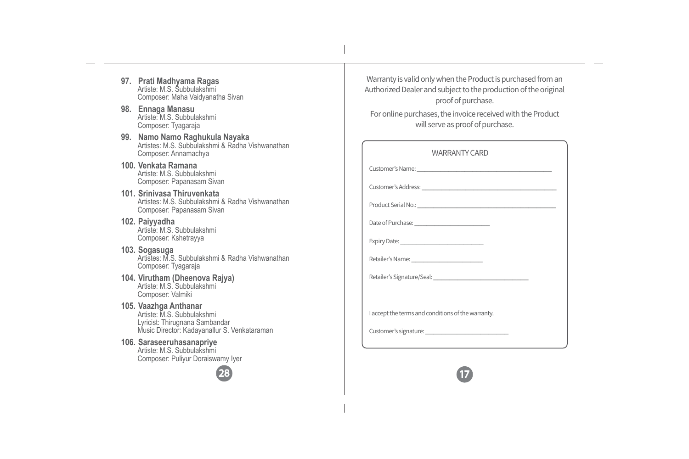- **97. Prati Madhyama Ragas** Artiste: M.S. Subbulakshmi Composer: Maha Vaidyanatha Sivan **98. Ennaga Manasu** Artiste: M.S. Subbulakshmi Composer: Tyagaraja **99. Namo Namo Raghukula Nayaka** Artistes: M.S. Subbulakshmi & Radha Vishwanathan
- Composer: Annamachya **100. Venkata Ramana** Artiste: M.S. Subbulakshmi Composer: Papanasam Sivan
- **101. Srinivasa Thiruvenkata** Artistes: M.S. Subbulakshmi & Radha Vishwanathan Composer: Papanasam Sivan
- **102. Paiyyadha** Artiste: M.S. Subbulakshmi Composer: Kshetrayya
- **103. Sogasuga** Artistes: M.S. Subbulakshmi & Radha Vishwanathan Composer: Tyagaraja
- **104. Virutham (Dheenova Rajya)** Artiste: M.S. Subbulakshmi Composer: Valmiki
- **105. Vaazhga Anthanar** Artiste: M.S. Subbulakshmi Lyricist: Thirugnana Sambandar Music Director: Kadayanallur S. Venkataraman

**106. Saraseeruhasanapriye** Artiste: M.S. Subbulakshmi Composer: Puliyur Doraiswamy Iyer

Warranty is valid only when the Product is purchased from an Authorized Dealer and subject to the production of the original proof of purchase.

For online purchases, the invoice received with the Product will serve as proof of purchase.

| <b>WARRANTY CARD</b>                               |  |
|----------------------------------------------------|--|
|                                                    |  |
|                                                    |  |
|                                                    |  |
|                                                    |  |
|                                                    |  |
|                                                    |  |
|                                                    |  |
|                                                    |  |
| I accept the terms and conditions of the warranty. |  |
|                                                    |  |
|                                                    |  |
|                                                    |  |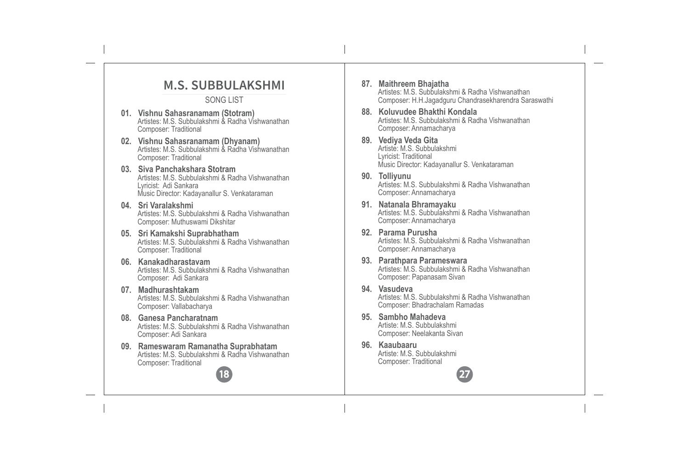# **M.S. SUBBULAKSHMI**

#### SONG LIST

- **01. Vishnu Sahasranamam (Stotram)** Artistes: M.S. Subbulakshmi & Radha Vishwanathan Composer: Traditional
- **02. Vishnu Sahasranamam (Dhyanam)** Artistes: M.S. Subbulakshmi & Radha Vishwanathan Composer: Traditional
- **03. Siva Panchakshara Stotram** Artistes: M.S. Subbulakshmi & Radha Vishwanathan Lyricist: Adi Sankara Music Director: Kadayanallur S. Venkataraman
- **04. Sri Varalakshmi** Artistes: M.S. Subbulakshmi & Radha Vishwanathan Composer: Muthuswami Dikshitar
- **05. Sri Kamakshi Suprabhatham** Artistes: M.S. Subbulakshmi & Radha Vishwanathan Composer: Traditional
- **06. Kanakadharastavam** Artistes: M.S. Subbulakshmi & Radha Vishwanathan Composer: Adi Sankara
- **07. Madhurashtakam** Artistes: M.S. Subbulakshmi & Radha Vishwanathan Composer: Vallabacharya
- **08. Ganesa Pancharatnam** Artistes: M.S. Subbulakshmi & Radha Vishwanathan Composer: Adi Sankara
- **09. Rameswaram Ramanatha Suprabhatam** Artistes: M.S. Subbulakshmi & Radha Vishwanathan Composer: Traditional

18

- **87. Maithreem Bhajatha** Artistes: M.S. Subbulakshmi & Radha Vishwanathan Composer: H.H.Jagadguru Chandrasekharendra Saraswathi
- **88. Koluvudee Bhakthi Kondala** Artistes: M.S. Subbulakshmi & Radha Vishwanathan Composer: Annamacharya
- **89. Vediya Veda Gita** Artiste: M.S. Subbulakshmi Lyricist: Traditional Music Director: Kadayanallur S. Venkataraman
- **90. Tolliyunu** Artistes: M.S. Subbulakshmi & Radha Vishwanathan Composer: Annamacharya
- **91. Natanala Bhramayaku** Artistes: M.S. Subbulakshmi & Radha Vishwanathan Composer: Annamacharya
- **92. Parama Purusha** Artistes: M.S. Subbulakshmi & Radha Vishwanathan Composer: Annamacharya
- **93. Parathpara Parameswara** Artistes: M.S. Subbulakshmi & Radha Vishwanathan Composer: Papanasam Sivan
- **94. Vasudeva** Artistes: M.S. Subbulakshmi & Radha Vishwanathan Composer: Bhadrachalam Ramadas

- **95. Sambho Mahadeva** Artiste: M.S. Subbulakshmi Composer: Neelakanta Sivan
- **96. Kaaubaaru** Artiste: M.S. Subbulakshmi Composer: Traditional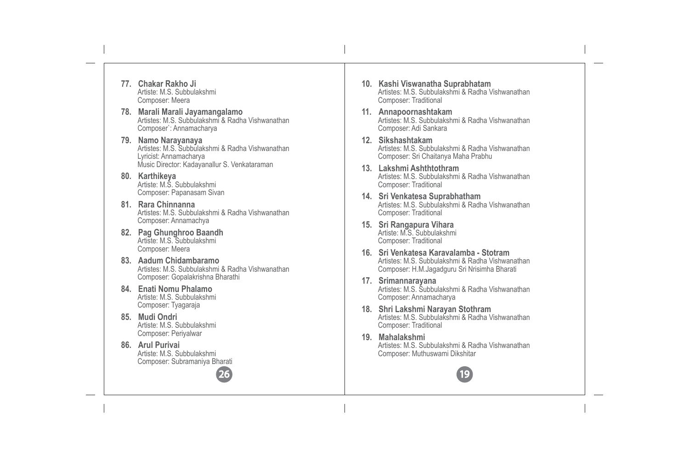- **77. Chakar Rakho Ji** Artiste: M.S. Subbulakshmi Composer: Meera
- **78. Marali Marali Jayamangalamo** Artistes: M.S. Subbulakshmi & Radha Vishwanathan Composer`: Annamacharya
- **79. Namo Narayanaya** Artistes: M.S. Subbulakshmi & Radha Vishwanathan Lyricist: Annamacharya Music Director: Kadayanallur S. Venkataraman
- **80. Karthikeya** Artiste: M.S. Subbulakshmi Composer: Papanasam Sivan
- **81. Rara Chinnanna** Artistes: M.S. Subbulakshmi & Radha Vishwanathan Composer: Annamachya
- **82. Pag Ghunghroo Baandh** Artiste: M.S. Subbulakshmi Composer: Meera
- **83. Aadum Chidambaramo** Artistes: M.S. Subbulakshmi & Radha Vishwanathan Composer: Gopalakrishna Bharathi

- **84. Enati Nomu Phalamo** Artiste: M.S. Subbulakshmi Composer: Tyagaraja
- **85. Mudi Ondri** Artiste: M.S. Subbulakshmi Composer: Periyalwar
- **86. Arul Purivai** Artiste: M.S. Subbulakshmi Composer: Subramaniya Bharati
- **10. Kashi Viswanatha Suprabhatam** Artistes: M.S. Subbulakshmi & Radha Vishwanathan Composer: Traditional
- **11. Annapoornashtakam** Artistes: M.S. Subbulakshmi & Radha Vishwanathan Composer: Adi Sankara
- **12. Sikshashtakam** Artistes: M.S. Subbulakshmi & Radha Vishwanathan Composer: Sri Chaitanya Maha Prabhu
- **13. Lakshmi Ashthtothram** Artistes: M.S. Subbulakshmi & Radha Vishwanathan Composer: Traditional
- **14. Sri Venkatesa Suprabhatham** Artistes: M.S. Subbulakshmi & Radha Vishwanathan Composer: Traditional
- **15. Sri Rangapura Vihara** Artiste: M.S. Subbulakshmi Composer: Traditional
- **16. Sri Venkatesa Karavalamba Stotram** Artistes: M.S. Subbulakshmi & Radha Vishwanathan Composer: H.M.Jagadguru Sri Nrisimha Bharati
- **17. Srimannarayana** Artistes: M.S. Subbulakshmi & Radha Vishwanathan Composer: Annamacharya
- **18. Shri Lakshmi Narayan Stothram** Artistes: M.S. Subbulakshmi & Radha Vishwanathan Composer: Traditional
- **19. Mahalakshmi** Artistes: M.S. Subbulakshmi & Radha Vishwanathan Composer: Muthuswami Dikshitar

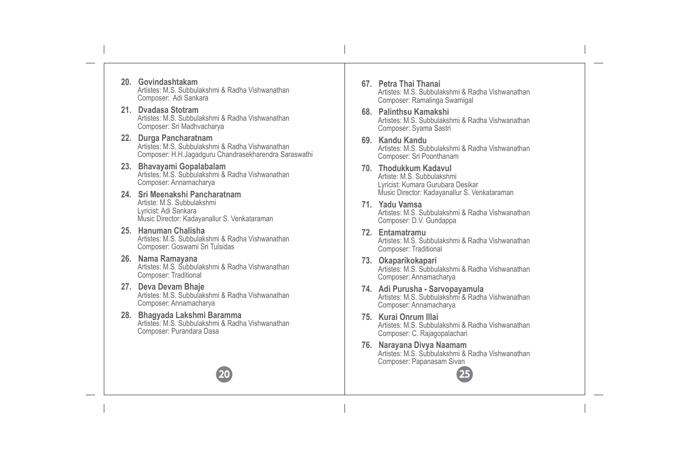- **20. Govindashtakam** Artistes: M.S. Subbulakshmi & Radha Vishwanathan Composer: Adi Sankara
- **21. Dvadasa Stotram** Artistes: M.S. Subbulakshmi & Radha Vishwanathan Composer: Sri Madhvacharya
- **22. Durga Pancharatnam** Artistes: M.S. Subbulakshmi & Radha Vishwanathan Composer: H.H.Jagadguru Chandrasekharendra Saraswathi
- **23. Bhavayami Gopalabalam** Artistes: M.S. Subbulakshmi & Radha Vishwanathan Composer: Annamacharya
- **24. Sri Meenakshi Pancharatnam** Artiste: M.S. Subbulakshmi Lyricist: Adi Sankara Music Director: Kadayanallur S. Venkataraman
- **25. Hanuman Chalisha** Artistes: M.S. Subbulakshmi & Radha Vishwanathan Composer: Goswami Sri Tulsidas
- **26. Nama Ramayana** Artistes: M.S. Subbulakshmi & Radha Vishwanathan Composer: Traditional
- **27. Deva Devam Bhaje** Artistes: M.S. Subbulakshmi & Radha Vishwanathan Composer: Annamacharya
- **28. Bhagyada Lakshmi Baramma** Artistes: M.S. Subbulakshmi & Radha Vishwanathan Composer: Purandara Dasa

- **67. Petra Thai Thanai** Artistes: M.S. Subbulakshmi & Radha Vishwanathan Composer: Ramalinga Swamigal
- **68. Palinthsu Kamakshi** Artistes: M.S. Subbulakshmi & Radha Vishwanathan Composer: Syama Sastri
- **69. Kandu Kandu** Artistes: M.S. Subbulakshmi & Radha Vishwanathan Composer: Sri Poonthanam
- **70. Thodukkum Kadavul** Artiste: M.S. Subbulakshmi Lyricist: Kumara Gurubara Desikar Music Director: Kadayanallur S. Venkataraman
- **71. Yadu Vamsa** Artistes: M.S. Subbulakshmi & Radha Vishwanathan Composer: D.V. Gundappa
- **72. Entamatramu** Artistes: M.S. Subbulakshmi & Radha Vishwanathan Composer: Traditional
- **73. Okaparikokapari** Artistes: M.S. Subbulakshmi & Radha Vishwanathan Composer: Annamacharya
- **74. Adi Purusha Sarvopayamula** Artistes: M.S. Subbulakshmi & Radha Vishwanathan Composer: Annamacharya
- **75. Kurai Onrum Illai** Artistes: M.S. Subbulakshmi & Radha Vishwanathan Composer: C. Rajagopalachari
- **76. Narayana Divya Naamam** Artistes: M.S. Subbulakshmi & Radha Vishwanathan Composer: Papanasam Sivan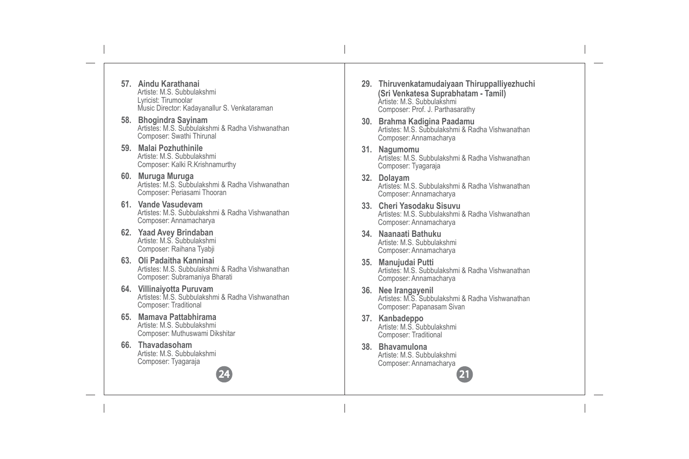- **57. Aindu Karathanai** Artiste: M.S. Subbulakshmi Lyricist: Tirumoolar Music Director: Kadayanallur S. Venkataraman
- **58. Bhogindra Sayinam** Artistes: M.S. Subbulakshmi & Radha Vishwanathan Composer: Swathi Thirunal
- **59. Malai Pozhuthinile** Artiste: M.S. Subbulakshmi Composer: Kalki R.Krishnamurthy
- **60. Muruga Muruga** Artistes: M.S. Subbulakshmi & Radha Vishwanathan Composer: Periasami Thooran
- **61. Vande Vasudevam** Artistes: M.S. Subbulakshmi & Radha Vishwanathan Composer: Annamacharya
- **62. Yaad Avey Brindaban** Artiste: M.S. Subbulakshmi Composer: Raihana Tyabji
- **63. Oli Padaitha Kanninai**  Artistes: M.S. Subbulakshmi & Radha Vishwanathan Composer: Subramaniya Bharati
- **64. Villinaiyotta Puruvam** Artistes: M.S. Subbulakshmi & Radha Vishwanathan Composer: Traditional

- **65. Mamava Pattabhirama** Artiste: M.S. Subbulakshmi Composer: Muthuswami Dikshitar
- **66. Thavadasoham** Artiste: M.S. Subbulakshmi Composer: Tyagaraja
- **29. Thiruvenkatamudaiyaan Thiruppalliyezhuchi (Sri Venkatesa Suprabhatam - Tamil)** Artiste: M.S. Subbulakshmi Composer: Prof. J. Parthasarathy
- **30. Brahma Kadigina Paadamu** Artistes: M.S. Subbulakshmi & Radha Vishwanathan Composer: Annamacharya
- **31. Nagumomu** Artistes: M.S. Subbulakshmi & Radha Vishwanathan Composer: Tyagaraja
- **32. Dolayam** Artistes: M.S. Subbulakshmi & Radha Vishwanathan Composer: Annamacharya
- **33. Cheri Yasodaku Sisuvu** Artistes: M.S. Subbulakshmi & Radha Vishwanathan Composer: Annamacharya
- **34. Naanaati Bathuku** Artiste: M.S. Subbulakshmi Composer: Annamacharya
- **35. Manujudai Putti** Artistes: M.S. Subbulakshmi & Radha Vishwanathan Composer: Annamacharya
- **36. Nee Irangayenil** Artistes: M.S. Subbulakshmi & Radha Vishwanathan Composer: Papanasam Sivan
- **37. Kanbadeppo** Artiste: M.S. Subbulakshmi Composer: Traditional
- **38. Bhavamulona** Artiste: M.S. Subbulakshmi Composer: Annamacharya 21